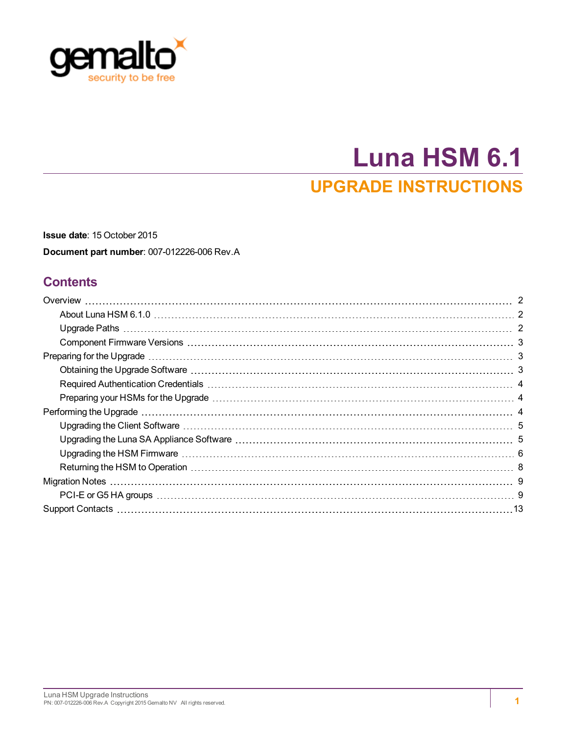

# **Luna HSM 6.1 UPGRADE INSTRUCTIONS**

**Issue date**: 15 October 2015 **Document part number**: 007-012226-006 Rev.A

## **Contents**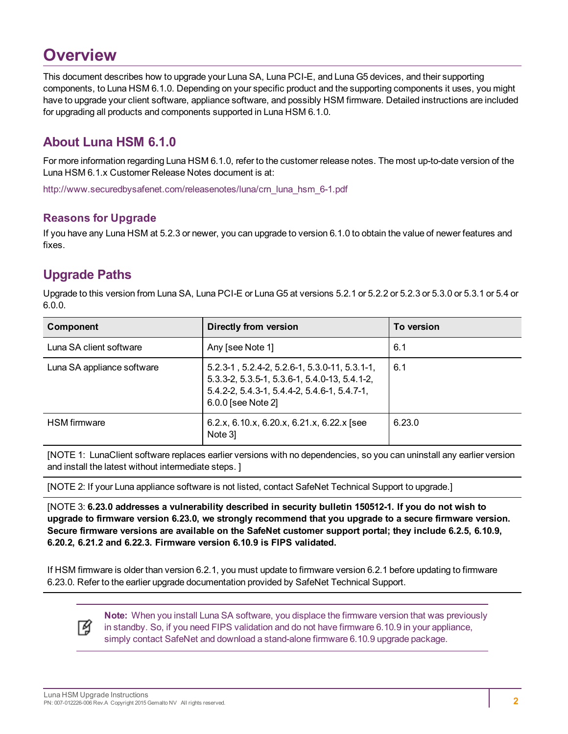## <span id="page-1-0"></span>**Overview**

This document describes how to upgrade your Luna SA, Luna PCI-E, and Luna G5 devices, and their supporting components, to Luna HSM 6.1.0. Depending on your specific product and the supporting components it uses, you might have to upgrade your client software, appliance software, and possibly HSM firmware. Detailed instructions are included for upgrading all products and components supported in Luna HSM 6.1.0.

## <span id="page-1-1"></span>**About Luna HSM 6.1.0**

For more information regarding Luna HSM 6.1.0, refer to the customer release notes. The most up-to-date version of the Luna HSM 6.1.x Customer Release Notes document is at:

[http://www.securedbysafenet.com/releasenotes/luna/crn\\_luna\\_hsm\\_6-1.pdf](http://www.securedbysafenet.com/releasenotes/luna/crn_luna_hsm_6-0.pdf)

#### **Reasons for Upgrade**

If you have any Luna HSM at 5.2.3 or newer, you can upgrade to version 6.1.0 to obtain the value of newer features and fixes.

## <span id="page-1-2"></span>**Upgrade Paths**

Upgrade to this version from Luna SA, Luna PCI-E or Luna G5 at versions 5.2.1 or 5.2.2 or 5.2.3 or 5.3.0 or 5.3.1 or 5.4 or 6.0.0.

| Component                  | Directly from version                                                                                                                                                                         | <b>To version</b> |
|----------------------------|-----------------------------------------------------------------------------------------------------------------------------------------------------------------------------------------------|-------------------|
| Luna SA client software    | Any [see Note 1]                                                                                                                                                                              | 6.1               |
| Luna SA appliance software | $5.2.3 - 1$ , $5.2.4 - 2$ , $5.2.6 - 1$ , $5.3.0 - 11$ , $5.3.1 - 1$ ,<br>5.3.3-2, 5.3.5-1, 5.3.6-1, 5.4.0-13, 5.4.1-2,<br>5.4.2-2, 5.4.3-1, 5.4.4-2, 5.4.6-1, 5.4.7-1,<br>6.0.0 [see Note 2] | 6.1               |
| <b>HSM</b> firmware        | 6.2.x, 6.10.x, 6.20.x, 6.21.x, 6.22.x [see<br>Note 31                                                                                                                                         | 6.23.0            |

[NOTE 1: LunaClient software replaces earlier versions with no dependencies, so you can uninstall any earlier version and install the latest without intermediate steps. ]

[NOTE 2: If your Luna appliance software is not listed, contact SafeNet Technical Support to upgrade.]

[NOTE 3: **6.23.0 addresses a vulnerability described in security bulletin 150512-1. If you do not wish to upgrade to firmware version 6.23.0, we strongly recommend that you upgrade to a secure firmware version. Secure firmware versions are available on the SafeNet customer support portal; they include 6.2.5, 6.10.9, 6.20.2, 6.21.2 and 6.22.3. Firmware version 6.10.9 is FIPS validated.**

If HSM firmware is older than version 6.2.1, you must update to firmware version 6.2.1 before updating to firmware 6.23.0. Refer to the earlier upgrade documentation provided by SafeNet Technical Support.



**Note:** When you install Luna SA software, you displace the firmware version that was previously in standby. So, if you need FIPS validation and do not have firmware 6.10.9 in your appliance, simply contact SafeNet and download a stand-alone firmware 6.10.9 upgrade package.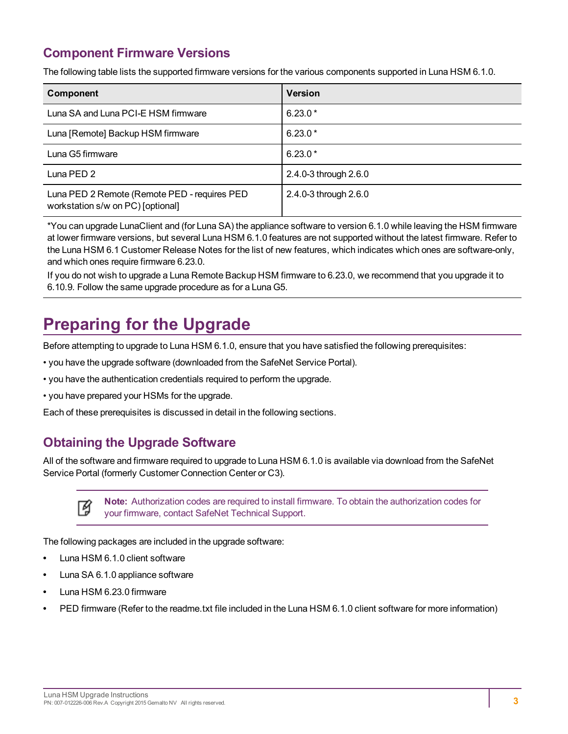## <span id="page-2-0"></span>**Component Firmware Versions**

The following table lists the supported firmware versions for the various components supported in Luna HSM 6.1.0.

| Component                                                                         | <b>Version</b>        |
|-----------------------------------------------------------------------------------|-----------------------|
| Luna SA and Luna PCI-E HSM firmware                                               | $6.23.0*$             |
| Luna [Remote] Backup HSM firmware                                                 | $6.23.0*$             |
| Luna G5 firmware                                                                  | $6.23.0*$             |
| Luna PED 2                                                                        | 2.4.0-3 through 2.6.0 |
| Luna PED 2 Remote (Remote PED - requires PED<br>workstation s/w on PC) [optional] | 2.4.0-3 through 2.6.0 |

\*You can upgrade LunaClient and (for Luna SA) the appliance software to version 6.1.0 while leaving the HSM firmware at lower firmware versions, but several Luna HSM 6.1.0 features are not supported without the latest firmware. Refer to the Luna HSM 6.1 Customer Release Notes for the list of new features, which indicates which ones are software-only, and which ones require firmware 6.23.0.

If you do not wish to upgrade a Luna Remote Backup HSM firmware to 6.23.0, we recommend that you upgrade it to 6.10.9. Follow the same upgrade procedure as for a Luna G5.

## <span id="page-2-1"></span>**Preparing for the Upgrade**

Before attempting to upgrade to Luna HSM 6.1.0, ensure that you have satisfied the following prerequisites:

- you have the upgrade software (downloaded from the SafeNet Service Portal).
- you have the authentication credentials required to perform the upgrade.
- you have prepared your HSMs for the upgrade.

<span id="page-2-2"></span>Each of these prerequisites is discussed in detail in the following sections.

## **Obtaining the Upgrade Software**

All of the software and firmware required to upgrade to Luna HSM 6.1.0 is available via download from the SafeNet Service Portal (formerly Customer Connection Center or C3).



**Note:** Authorization codes are required to install firmware. To obtain the authorization codes for your firmware, contact SafeNet Technical Support.

The following packages are included in the upgrade software:

- **•** Luna HSM 6.1.0 client software
- **•** Luna SA 6.1.0 appliance software
- **•** Luna HSM 6.23.0 firmware
- **•** PED firmware (Refer to the readme.txt file included in the Luna HSM 6.1.0 client software for more information)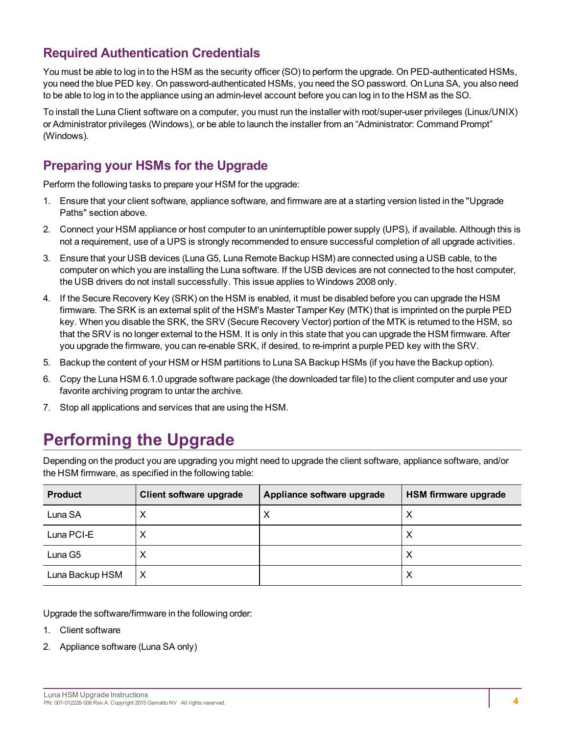## <span id="page-3-0"></span>**Required Authentication Credentials**

You must be able to log in to the HSM as the security officer (SO) to perform the upgrade. On PED-authenticated HSMs, you need the blue PED key. On password-authenticated HSMs, you need the SO password. On Luna SA, you also need to be able to log in to the appliance using an admin-level account before you can log in to the HSM as the SO.

To install the Luna Client software on a computer, you must run the installer with root/super-user privileges (Linux/UNIX) or Administrator privileges (Windows), or be able to launch the installer from an "Administrator: Command Prompt" (Windows).

## <span id="page-3-1"></span>**Preparing your HSMs for the Upgrade**

Perform the following tasks to prepare your HSM for the upgrade:

- 1. Ensure that your client software, appliance software, and firmware are at a starting version listed in the "Upgrade Paths" section above.
- 2. Connect your HSM appliance or host computer to an uninterruptible power supply (UPS), if available. Although this is not a requirement, use of a UPS is strongly recommended to ensure successful completion of all upgrade activities.
- 3. Ensure that your USB devices (Luna G5, Luna Remote Backup HSM) are connected using a USB cable, to the computer on which you are installing the Luna software. If the USB devices are not connected to the host computer, the USB drivers do not install successfully. This issue applies to Windows 2008 only.
- 4. If the Secure Recovery Key (SRK) on the HSM is enabled, it must be disabled before you can upgrade the HSM firmware. The SRK is an external split of the HSM's Master Tamper Key (MTK) that is imprinted on the purple PED key. When you disable the SRK, the SRV (Secure Recovery Vector) portion of the MTK is returned to the HSM, so that the SRV is no longer external to the HSM. It is only in this state that you can upgrade the HSM firmware. After you upgrade the firmware, you can re-enable SRK, if desired, to re-imprint a purple PED key with the SRV.
- 5. Backup the content of your HSM or HSM partitions to Luna SA Backup HSMs (if you have the Backup option).
- 6. Copy the Luna HSM 6.1.0 upgrade software package (the downloaded tar file) to the client computer and use your favorite archiving program to untar the archive.
- <span id="page-3-2"></span>7. Stop all applications and services that are using the HSM.

## **Performing the Upgrade**

Depending on the product you are upgrading you might need to upgrade the client software, appliance software, and/or the HSM firmware, as specified in the following table:

| <b>Product</b>  | Client software upgrade | Appliance software upgrade | HSM firmware upgrade |
|-----------------|-------------------------|----------------------------|----------------------|
| Luna SA         | ↗                       | X                          | ⋏                    |
| Luna PCI-E      | Χ                       |                            | ⋏                    |
| Luna G5         | Χ                       |                            | Х                    |
| Luna Backup HSM | X                       |                            | ⋏                    |

Upgrade the software/firmware in the following order:

- 1. Client software
- 2. Appliance software (Luna SA only)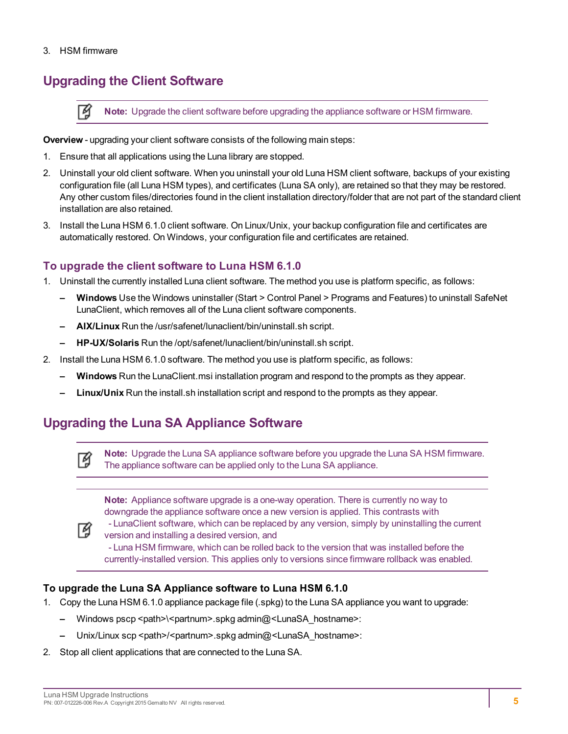#### <span id="page-4-0"></span>3. HSM firmware

### **Upgrading the Client Software**

了 **Note:** Upgrade the client software before upgrading the appliance software or HSM firmware.

**Overview** - upgrading your client software consists of the following main steps:

- 1. Ensure that all applications using the Luna library are stopped.
- 2. Uninstall your old client software. When you uninstall your old Luna HSM client software, backups of your existing configuration file (all Luna HSM types), and certificates (Luna SA only), are retained so that they may be restored. Any other custom files/directories found in the client installation directory/folder that are not part of the standard client installation are also retained.
- 3. Install the Luna HSM 6.1.0 client software. On Linux/Unix, your backup configuration file and certificates are automatically restored. On Windows, your configuration file and certificates are retained.

#### **To upgrade the client software to Luna HSM 6.1.0**

- 1. Uninstall the currently installed Luna client software. The method you use is platform specific, as follows:
	- **– Windows** Use the Windows uninstaller (Start > Control Panel > Programs and Features) to uninstall SafeNet LunaClient, which removes all of the Luna client software components.
	- **– AIX/Linux** Run the /usr/safenet/lunaclient/bin/uninstall.sh script.
	- **– HP-UX/Solaris** Run the /opt/safenet/lunaclient/bin/uninstall.sh script.
- 2. Install the Luna HSM 6.1.0 software. The method you use is platform specific, as follows:
	- **– Windows** Run the LunaClient.msi installation program and respond to the prompts as they appear.
	- **– Linux/Unix** Run the install.sh installation script and respond to the prompts as they appear.

### <span id="page-4-1"></span>**Upgrading the Luna SA Appliance Software**

**Note:** Upgrade the Luna SA appliance software before you upgrade the Luna SA HSM firmware. The appliance software can be applied only to the Luna SA appliance.

**Note:** Appliance software upgrade is a one-way operation. There is currently no way to downgrade the appliance software once a new version is applied. This contrasts with



了

- LunaClient software, which can be replaced by any version, simply by uninstalling the current version and installing a desired version, and

 - Luna HSM firmware, which can be rolled back to the version that was installed before the currently-installed version. This applies only to versions since firmware rollback was enabled.

#### **To upgrade the Luna SA Appliance software to Luna HSM 6.1.0**

- 1. Copy the Luna HSM 6.1.0 appliance package file (.spkg) to the Luna SA appliance you want to upgrade:
	- **–** Windows pscp <path>\<partnum>.spkg admin@<LunaSA\_hostname>:
	- Unix/Linux scp <path>/<partnum>.spkg admin@<LunaSA\_hostname>:
- 2. Stop all client applications that are connected to the Luna SA.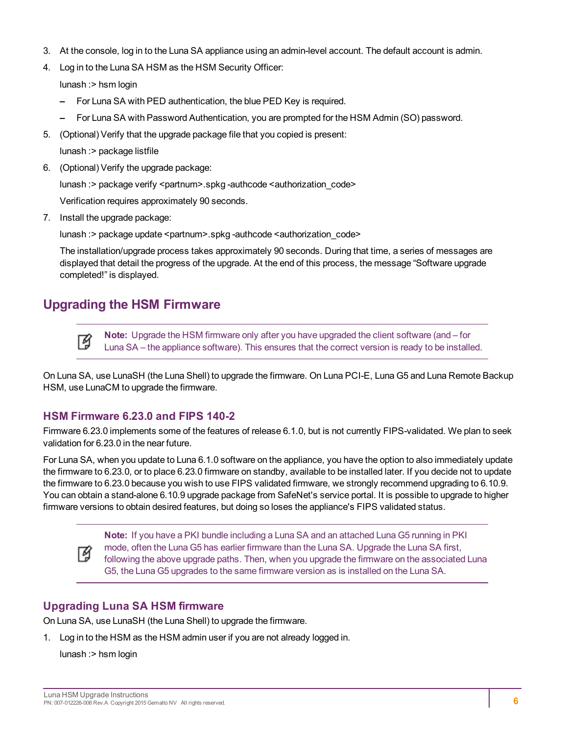- 3. At the console, log in to the Luna SA appliance using an admin-level account. The default account is admin.
- 4. Log in to the Luna SA HSM as the HSM Security Officer:

lunash :> hsm login

- **–** For Luna SA with PED authentication, the blue PED Key is required.
- **–** For Luna SA with Password Authentication, you are prompted for the HSM Admin (SO) password.
- 5. (Optional) Verify that the upgrade package file that you copied is present:

lunash :> package listfile

6. (Optional) Verify the upgrade package:

lunash :> package verify <partnum>.spkg -authcode <authorization\_code>

Verification requires approximately 90 seconds.

7. Install the upgrade package:

lunash :> package update <partnum>.spkg -authcode <authorization\_code>

The installation/upgrade process takes approximately 90 seconds. During that time, a series of messages are displayed that detail the progress of the upgrade. At the end of this process, the message "Software upgrade completed!" is displayed.

## <span id="page-5-0"></span>**Upgrading the HSM Firmware**

層

**Note:** Upgrade the HSM firmware only after you have upgraded the client software (and – for Luna SA – the appliance software). This ensures that the correct version is ready to be installed.

On Luna SA, use LunaSH (the Luna Shell) to upgrade the firmware. On Luna PCI-E, Luna G5 and Luna Remote Backup HSM, use LunaCM to upgrade the firmware.

#### **HSM Firmware 6.23.0 and FIPS 140-2**

Firmware 6.23.0 implements some of the features of release 6.1.0, but is not currently FIPS-validated. We plan to seek validation for 6.23.0 in the near future.

For Luna SA, when you update to Luna 6.1.0 software on the appliance, you have the option to also immediately update the firmware to 6.23.0, or to place 6.23.0 firmware on standby, available to be installed later. If you decide not to update the firmware to 6.23.0 because you wish to use FIPS validated firmware, we strongly recommend upgrading to 6.10.9. You can obtain a stand-alone 6.10.9 upgrade package from SafeNet's service portal. It is possible to upgrade to higher firmware versions to obtain desired features, but doing so loses the appliance's FIPS validated status.



**Note:** If you have a PKI bundle including a Luna SA and an attached Luna G5 running in PKI mode, often the Luna G5 has earlier firmware than the Luna SA. Upgrade the Luna SA first, following the above upgrade paths. Then, when you upgrade the firmware on the associated Luna G5, the Luna G5 upgrades to the same firmware version as is installed on the Luna SA.

#### **Upgrading Luna SA HSM firmware**

On Luna SA, use LunaSH (the Luna Shell) to upgrade the firmware.

1. Log in to the HSM as the HSM admin user if you are not already logged in.

lunash :> hsm login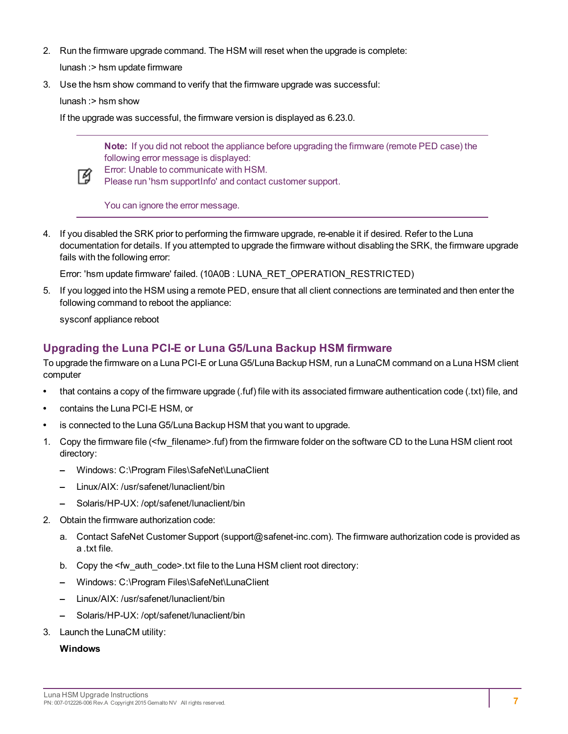2. Run the firmware upgrade command. The HSM will reset when the upgrade is complete:

lunash :> hsm update firmware

3. Use the hsm show command to verify that the firmware upgrade was successful:

lunash :> hsm show

If the upgrade was successful, the firmware version is displayed as 6.23.0.

**Note:** If you did not reboot the appliance before upgrading the firmware (remote PED case) the following error message is displayed:



Error: Unable to communicate with HSM.

Please run 'hsm supportInfo' and contact customer support.

You can ignore the error message.

4. If you disabled the SRK prior to performing the firmware upgrade, re-enable it if desired. Refer to the Luna documentation for details. If you attempted to upgrade the firmware without disabling the SRK, the firmware upgrade fails with the following error:

Error: 'hsm update firmware' failed. (10A0B : LUNA\_RET\_OPERATION\_RESTRICTED)

5. If you logged into the HSM using a remote PED, ensure that all client connections are terminated and then enter the following command to reboot the appliance:

sysconf appliance reboot

#### **Upgrading the Luna PCI-E or Luna G5/Luna Backup HSM firmware**

To upgrade the firmware on a Luna PCI-E or Luna G5/Luna Backup HSM, run a LunaCM command on a Luna HSM client computer

- **•** that contains a copy of the firmware upgrade (.fuf) file with its associated firmware authentication code (.txt) file, and
- **•** contains the Luna PCI-E HSM, or
- **•** is connected to the Luna G5/Luna Backup HSM that you want to upgrade.
- 1. Copy the firmware file (<fw\_filename>.fuf) from the firmware folder on the software CD to the Luna HSM client root directory:
	- **–** Windows: C:\Program Files\SafeNet\LunaClient
	- **–** Linux/AIX: /usr/safenet/lunaclient/bin
	- **–** Solaris/HP-UX: /opt/safenet/lunaclient/bin
- 2. Obtain the firmware authorization code:
	- a. Contact SafeNet Customer Support (support@safenet-inc.com). The firmware authorization code is provided as a .txt file.
	- b. Copy the <fw\_auth\_code>.txt file to the Luna HSM client root directory:
	- **–** Windows: C:\Program Files\SafeNet\LunaClient
	- **–** Linux/AIX: /usr/safenet/lunaclient/bin
	- **–** Solaris/HP-UX: /opt/safenet/lunaclient/bin
- 3. Launch the LunaCM utility:

#### **Windows**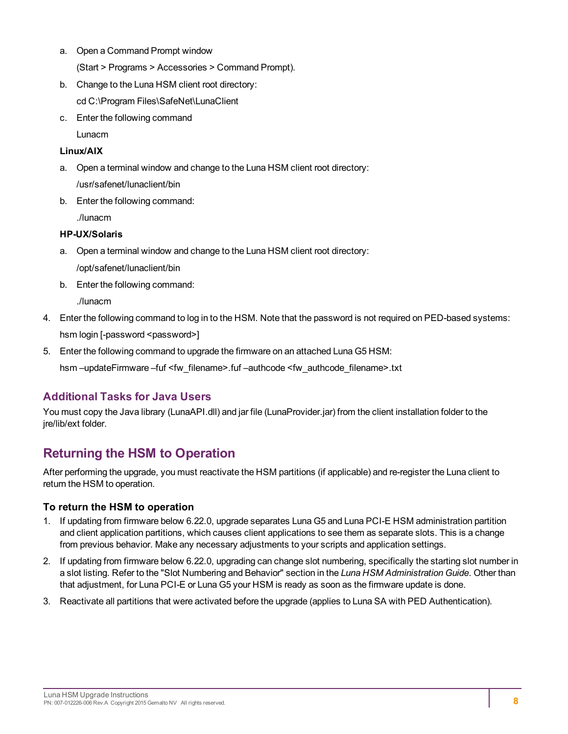a. Open a Command Prompt window

(Start > Programs > Accessories > Command Prompt).

b. Change to the Luna HSM client root directory:

cd C:\Program Files\SafeNet\LunaClient

c. Enter the following command

Lunacm

#### **Linux/AIX**

- a. Open a terminal window and change to the Luna HSM client root directory: /usr/safenet/lunaclient/bin
- b. Enter the following command:

./lunacm

#### **HP-UX/Solaris**

a. Open a terminal window and change to the Luna HSM client root directory:

/opt/safenet/lunaclient/bin

b. Enter the following command:

./lunacm

- 4. Enter the following command to log in to the HSM. Note that the password is not required on PED-based systems: hsm login [-password <password>]
- 5. Enter the following command to upgrade the firmware on an attached Luna G5 HSM:

hsm -updateFirmware -fuf <fw\_filename>.fuf -authcode <fw\_authcode\_filename>.txt

#### **Additional Tasks for Java Users**

You must copy the Java library (LunaAPI.dll) and jar file (LunaProvider.jar) from the client installation folder to the ire/lib/ext folder.

## <span id="page-7-0"></span>**Returning the HSM to Operation**

After performing the upgrade, you must reactivate the HSM partitions (if applicable) and re-register the Luna client to return the HSM to operation.

#### **To return the HSM to operation**

- 1. If updating from firmware below 6.22.0, upgrade separates Luna G5 and Luna PCI-E HSM administration partition and client application partitions, which causes client applications to see them as separate slots. This is a change from previous behavior. Make any necessary adjustments to your scripts and application settings.
- 2. If updating from firmware below 6.22.0, upgrading can change slot numbering, specifically the starting slot number in a slot listing. Refer to the "Slot Numbering and Behavior" section in the *Luna HSM Administration Guide*. Other than that adjustment, for Luna PCI-E or Luna G5 your HSM is ready as soon as the firmware update is done.
- 3. Reactivate all partitions that were activated before the upgrade (applies to Luna SA with PED Authentication).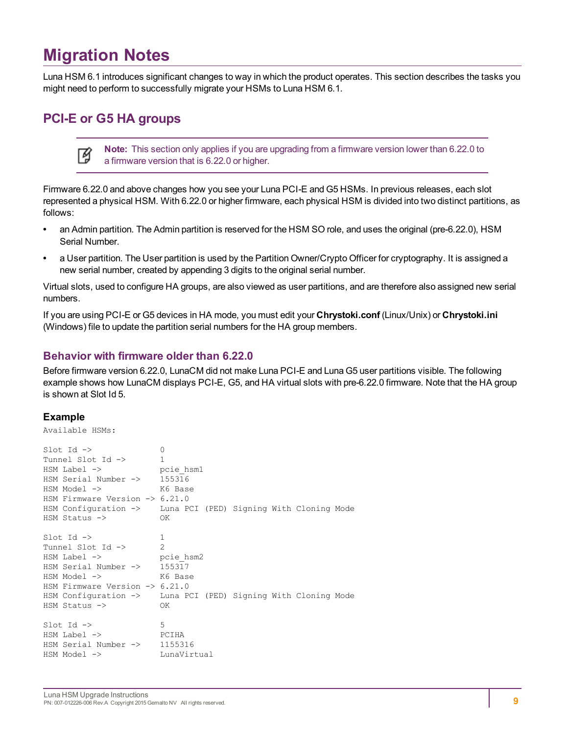## <span id="page-8-0"></span>**Migration Notes**

Luna HSM 6.1 introduces significant changes to way in which the product operates. This section describes the tasks you might need to perform to successfully migrate your HSMs to Luna HSM 6.1.

## <span id="page-8-1"></span>**PCI-E or G5 HA groups**

**Note:** This section only applies if you are upgrading from a firmware version lower than 6.22.0 to 盈 a firmware version that is 6.22.0 or higher.

Firmware 6.22.0 and above changes how you see your Luna PCI-E and G5 HSMs. In previous releases, each slot represented a physical HSM. With 6.22.0 or higher firmware, each physical HSM is divided into two distinct partitions, as follows:

- **•** an Admin partition. The Admin partition is reserved for the HSM SO role, and uses the original (pre-6.22.0), HSM Serial Number.
- **•** a User partition. The User partition is used by the Partition Owner/Crypto Officer for cryptography. It is assigned a new serial number, created by appending 3 digits to the original serial number.

Virtual slots, used to configure HA groups, are also viewed as user partitions, and are therefore also assigned new serial numbers.

If you are using PCI-E or G5 devices in HA mode, you must edit your **Chrystoki.conf** (Linux/Unix) or **Chrystoki.ini** (Windows) file to update the partition serial numbers for the HA group members.

#### **Behavior with firmware older than 6.22.0**

Before firmware version 6.22.0, LunaCM did not make Luna PCI-E and Luna G5 user partitions visible. The following example shows how LunaCM displays PCI-E, G5, and HA virtual slots with pre-6.22.0 firmware. Note that the HA group is shown at Slot Id 5.

#### **Example**

```
Available HSMs:
\text{Slot} Id \rightarrow 0
Tunnel Slot Id -> 1<br>
HSM Label -> poie hsm1
HSM Label \rightarrowHSM Serial Number -> 155316
HSM Model -> K6 Base
HSM Firmware Version -> 6.21.0
HSM Configuration -> Luna PCI (PED) Signing With Cloning Mode
HSM Status -> OK
Slot Id \rightarrow 1
Tunnel Slot Id -> 2
HSM Label -> pcie hsm2
HSM Serial Number -> 155317<br>HSM Model -> K6 Base
HSM Model ->
HSM Firmware Version -> 6.21.0
HSM Configuration -> Luna PCI (PED) Signing With Cloning Mode
HSM Status -> OK
\text{slot} Id \rightarrow 5
HSM Label -> PCIHA
HSM Serial Number -> 1155316
HSM Model -> LunaVirtual
```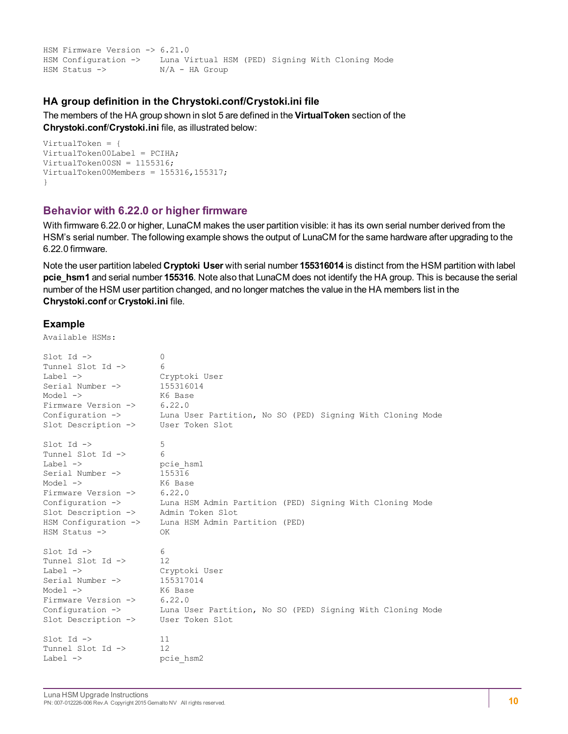HSM Firmware Version -> 6.21.0 HSM Configuration -> Luna Virtual HSM (PED) Signing With Cloning Mode HSM Status -> N/A - HA Group

#### **HA group definition in the Chrystoki.conf/Crystoki.ini file**

The members of the HA group shown in slot 5 are defined in the **VirtualToken** section of the **Chrystoki.conf**/**Crystoki.ini** file, as illustrated below:

```
VirtualToken = {
VirtualToken00Label = PCIHA;
VirtualToken00SN = 1155316;
VirtualToken00Members = 155316,155317;
}
```
#### **Behavior with 6.22.0 or higher firmware**

With firmware 6.22.0 or higher, LunaCM makes the user partition visible: it has its own serial number derived from the HSM's serial number. The following example shows the output of LunaCM for the same hardware after upgrading to the 6.22.0 firmware.

Note the user partition labeled **Cryptoki User** with serial number **155316014** is distinct from the HSM partition with label **pcie\_hsm1** and serial number **155316**. Note also that LunaCM does not identify the HA group. This is because the serial number of the HSM user partition changed, and no longer matches the value in the HA members list in the **Chrystoki.conf** or **Crystoki.ini** file.

#### **Example**

Available HSMs:

| $Slot$ Id $\rightarrow$         | $\Omega$                                                   |
|---------------------------------|------------------------------------------------------------|
| Tunnel Slot Id ->               | 6                                                          |
| Label $\rightarrow$             | Cryptoki User                                              |
| Serial Number ->                | 155316014                                                  |
| Model $\rightarrow$             | K6 Base                                                    |
| Firmware Version ->             | 6.22.0                                                     |
| Configuration $\rightarrow$     | Luna User Partition, No SO (PED) Signing With Cloning Mode |
| Slot Description ->             | User Token Slot                                            |
| $Slot$ Id $\rightarrow$         | 5                                                          |
| Tunnel Slot Id ->               | 6                                                          |
| Label $\rightarrow$             | pcie hsm1                                                  |
| Serial Number ->                | 155316                                                     |
| Model $\rightarrow$             | K6 Base                                                    |
| Firmware Version ->             | 6.22.0                                                     |
| Configuration $\rightarrow$     | Luna HSM Admin Partition (PED) Signing With Cloning Mode   |
| Slot Description ->             | Admin Token Slot                                           |
| HSM Configuration $\rightarrow$ | Luna HSM Admin Partition (PED)                             |
| $HSM$ Status $\rightarrow$      | OK                                                         |
| $Slot$ Id $\rightarrow$         | 6                                                          |
| Tunnel Slot Id ->               | 12                                                         |
| Label $\rightarrow$             | Cryptoki User                                              |
| Serial Number ->                | 155317014                                                  |
| Model $\rightarrow$             | K6 Base                                                    |
| Firmware Version ->             | 6.22.0                                                     |
| Configuration $\rightarrow$     | Luna User Partition, No SO (PED) Signing With Cloning Mode |
| Slot Description ->             | User Token Slot                                            |
| $Slot$ Id $\rightarrow$         | 11                                                         |
| Tunnel Slot Id ->               | $12 \overline{ }$                                          |
| Label $\rightarrow$             | pcie hsm2                                                  |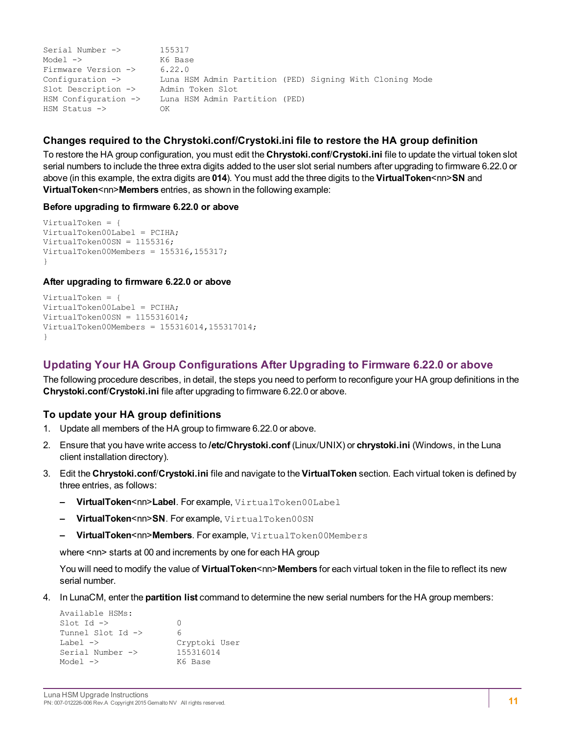```
Serial Number -> 155317
Model -> K6 Base<br>Firmware Version -> 6.22.0
Firmware Version ->
Configuration -> Luna HSM Admin Partition (PED) Signing With Cloning Mode
Slot Description -> Admin Token Slot
HSM Configuration -> Luna HSM Admin Partition (PED)
HSM Status -> OK
```
#### **Changes required to the Chrystoki.conf/Crystoki.ini file to restore the HA group definition**

To restore the HA group configuration, you must edit the **Chrystoki.conf**/**Crystoki.ini** file to update the virtual token slot serial numbers to include the three extra digits added to the user slot serial numbers after upgrading to firmware 6.22.0 or above (in this example, the extra digits are **014**). You must add the three digits to the **VirtualToken**<nn>**SN** and **VirtualToken**<nn>**Members** entries, as shown in the following example:

#### **Before upgrading to firmware 6.22.0 or above**

```
VirtualToken = {
VirtualToken00Label = PCIHA;
VirtualToken00SN = 1155316;
VirtualToken00Members = 155316,155317;
}
```
#### **After upgrading to firmware 6.22.0 or above**

```
VirtualToken = {
VirtualToken00Label = PCIHA;
VirtualToken00SN = 1155316014;
VirtualToken00Members = 155316014,155317014;
}
```
#### **Updating Your HA Group Configurations After Upgrading to Firmware 6.22.0 or above**

The following procedure describes, in detail, the steps you need to perform to reconfigure your HA group definitions in the **Chrystoki.conf**/**Crystoki.ini** file after upgrading to firmware 6.22.0 or above.

#### **To update your HA group definitions**

- 1. Update all members of the HA group to firmware 6.22.0 or above.
- 2. Ensure that you have write access to **/etc/Chrystoki.conf** (Linux/UNIX) or **chrystoki.ini** (Windows, in the Luna client installation directory).
- 3. Edit the **Chrystoki.conf**/**Crystoki.ini** file and navigate to the **VirtualToken** section. Each virtual token is defined by three entries, as follows:
	- **– VirtualToken**<nn>**Label**. For example, VirtualToken00Label
	- **– VirtualToken**<nn>**SN**. For example, VirtualToken00SN
	- **– VirtualToken**<nn>**Members**. For example, VirtualToken00Members

where <nn> starts at 00 and increments by one for each HA group

You will need to modify the value of **VirtualToken**<nn>**Members** for each virtual token in the file to reflect its new serial number.

4. In LunaCM, enter the **partition list** command to determine the new serial numbers for the HA group members:

| Available HSMs:              |               |
|------------------------------|---------------|
| $Slot$ Id $\rightarrow$      | ∩             |
| Tunnel Slot Id $\rightarrow$ | 6             |
| $Label \rightarrow$          | Cryptoki User |
| Serial Number ->             | 155316014     |
| Model $\rightarrow$          | K6 Base       |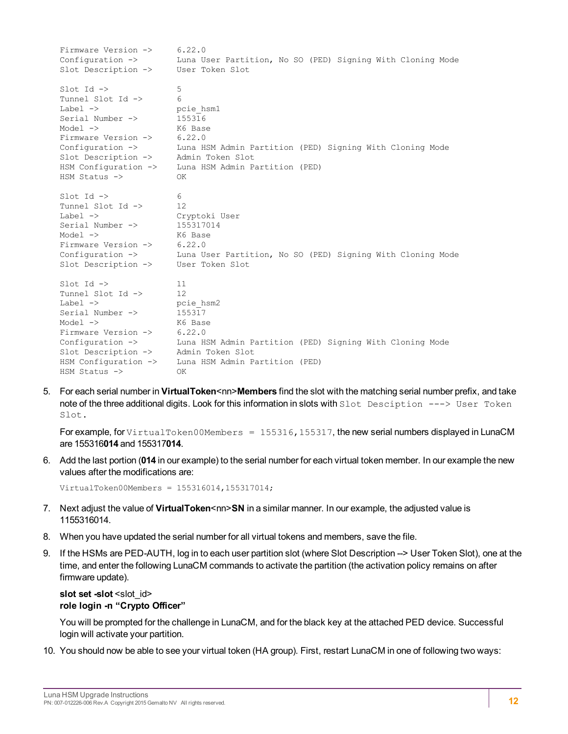Firmware Version -> 6.22.0 Configuration -> Luna User Partition, No SO (PED) Signing With Cloning Mode Slot Description -> User Token Slot  $\text{slot}$   $\text{Id}$   $\rightarrow$  5 Tunnel Slot Id -> 6 Label -> pcie\_hsm1<br>Serial Number -> 155316 Serial Number -> Model -> K6 Base<br>Firmware Version -> 6.22.0 Firmware Version -> Configuration -> Luna HSM Admin Partition (PED) Signing With Cloning Mode Slot Description -> Admin Token Slot Slot Description -> Admin Token Slot<br>HSM Configuration -> Luna HSM Admin Partition (PED) HSM Status -> OK  $\text{slot}$   $\text{Id}$   $\rightarrow$  6 Tunnel Slot Id -> 12 Label -> Cryptoki User Serial Number -> 155317014 Model -> K6 Base Firmware Version -> 6.22.0 Configuration -> Luna User Partition, No SO (PED) Signing With Cloning Mode Configuration -> Luna User Parti<br>Slot Description -> User Token Slot  $\text{slot}$   $\text{Id}$   $\rightarrow$  11 Tunnel Slot Id -> 12 Label -> pcie hsm2 Serial Number -> 155317 Model -> K6 Base Firmware Version -> 6.22.0 Configuration -> Luna HSM Admin Partition (PED) Signing With Cloning Mode<br>Slot Description -> Admin Token Slot Slot Description -> HSM Configuration -> Luna HSM Admin Partition (PED) HSM Status -> OK

5. For each serial number in VirtualToken<nn>Members find the slot with the matching serial number prefix, and take note of the three additional digits. Look for this information in slots with Slot Desciption ---> User Token Slot.

For example, for  $V$ irtualToken00Members = 155316, 155317, the new serial numbers displayed in LunaCM are 155316**014** and 155317**014**.

6. Add the last portion (**014** in our example) to the serial number for each virtual token member. In our example the new values after the modifications are:

VirtualToken00Members = 155316014,155317014;

- 7. Next adjust the value of **VirtualToken**<nn>**SN** in a similar manner. In our example, the adjusted value is 1155316014.
- 8. When you have updated the serial number for all virtual tokens and members, save the file.
- 9. If the HSMs are PED-AUTH, log in to each user partition slot (where Slot Description --> User Token Slot), one at the time, and enter the following LunaCM commands to activate the partition (the activation policy remains on after firmware update).

#### **slot** set -slot <slot\_id> **role login -n "Crypto Officer"**

You will be prompted for the challenge in LunaCM, and for the black key at the attached PED device. Successful login will activate your partition.

10. You should now be able to see your virtual token (HA group). First, restart LunaCM in one of following two ways: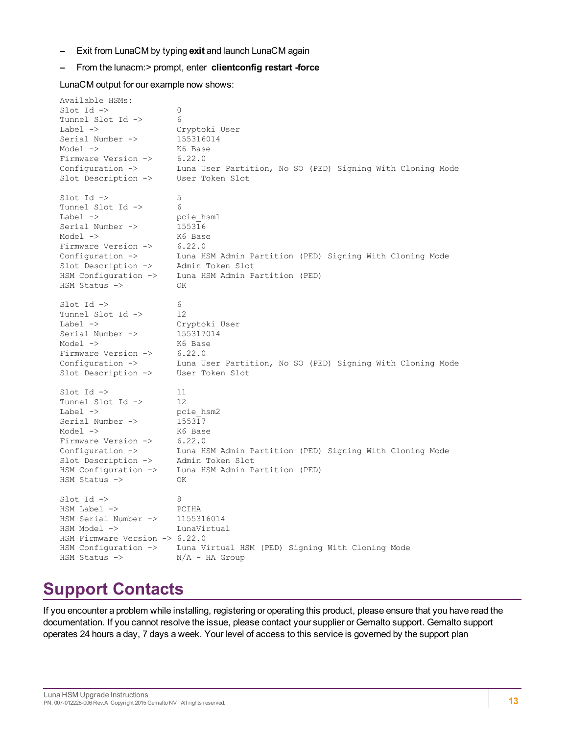**–** Exit from LunaCM by typing **exit** and launch LunaCM again

#### **–** From the lunacm:> prompt, enter **clientconfig restart -force**

LunaCM output for our example now shows:

```
Available HSMs:
Slot Id \rightarrow 0
Tunnel Slot Id -> 6
Label -> Cryptoki User
Serial Number -> 155316014
Model -> K6 Base
Firmware Version -> 6.22.0
Configuration -> Luna User Partition, No SO (PED) Signing With Cloning Mode
Slot Description -> User Token Slot
\text{slot} Id \rightarrow 5
Tunnel Slot Id -> 6
Label -> pcie hsm1
Serial Number \rightarrow 155316<br>Model \rightarrow K6 Base
Model \rightarrowFirmware Version -> 6.22.0
Configuration -> Luna HSM Admin Partition (PED) Signing With Cloning Mode
Slot Description -> Admin Token Slot
HSM Configuration -> Luna HSM Admin Partition (PED)
HSM Status -> OK
Slot Id \rightarrow 6<br>Tunnel Slot Id \rightarrow 12
Tunnel Slot Id ->
Label -> Cryptoki User<br>Serial Number -> 155317014
Serial Number ->
Model -> K6 Base
Firmware Version -> 6.22.0
Configuration -> Luna User Partition, No SO (PED) Signing With Cloning Mode
Configuration -> Luna User Parti<br>Slot Description -> User Token Slot
\text{slot} Id \rightarrow 11
Tunnel Slot Id -> 12<br>
Label -> pcie hsm2
Label -> pcie_h<br>Serial Number -> 155317
Serial Number ->
Model -> K6 Base
Firmware Version -> 6.22.0
Configuration -> Luna HSM Admin Partition (PED) Signing With Cloning Mode
Slot Description -> Admin Token Slot
Slot Description -> Admin Token Slot<br>HSM Configuration -> Luna HSM Admin Partition (PED)
HSM Status -> OK
\text{Slot} Id \rightarrow 8
HSM Label -> PCIHA
HSM Serial Number -> 1155316014
HSM Model -> LunaVirtual
HSM Firmware Version -> 6.22.0
HSM Configuration -> Luna Virtual HSM (PED) Signing With Cloning Mode
HSM Status -> N/A - HA Group
```
## <span id="page-12-0"></span>**Support Contacts**

If you encounter a problem while installing, registering or operating this product, please ensure that you have read the documentation. If you cannot resolve the issue, please contact your supplier or Gemalto support. Gemalto support operates 24 hours a day, 7 days a week. Your level of access to this service is governed by the support plan